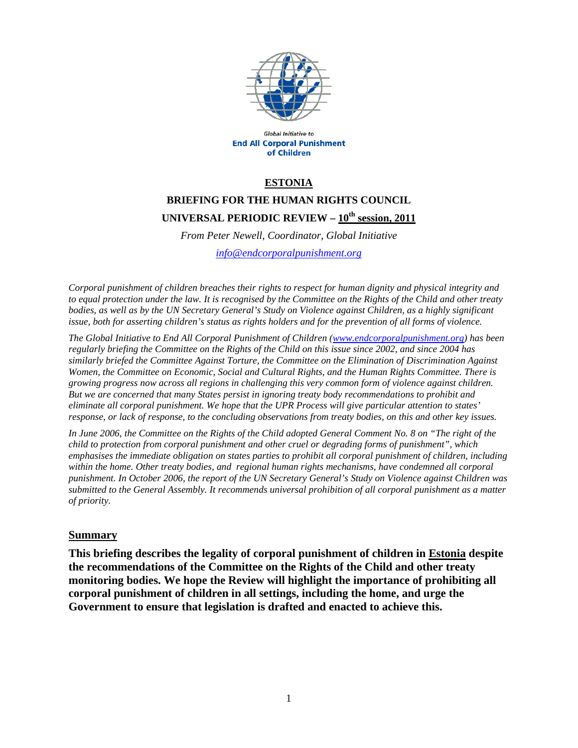

Global Initiative to **End All Corporal Punishment** of Children

### **ESTONIA**

# **BRIEFING FOR THE HUMAN RIGHTS COUNCIL UNIVERSAL PERIODIC REVIEW – 10th session, 2011**

*From Peter Newell, Coordinator, Global Initiative info@endcorporalpunishment.org*

*Corporal punishment of children breaches their rights to respect for human dignity and physical integrity and to equal protection under the law. It is recognised by the Committee on the Rights of the Child and other treaty bodies, as well as by the UN Secretary General's Study on Violence against Children, as a highly significant issue, both for asserting children's status as rights holders and for the prevention of all forms of violence.* 

*The Global Initiative to End All Corporal Punishment of Children (www.endcorporalpunishment.org) has been regularly briefing the Committee on the Rights of the Child on this issue since 2002, and since 2004 has similarly briefed the Committee Against Torture, the Committee on the Elimination of Discrimination Against Women, the Committee on Economic, Social and Cultural Rights, and the Human Rights Committee. There is growing progress now across all regions in challenging this very common form of violence against children. But we are concerned that many States persist in ignoring treaty body recommendations to prohibit and eliminate all corporal punishment. We hope that the UPR Process will give particular attention to states' response, or lack of response, to the concluding observations from treaty bodies, on this and other key issues.* 

*In June 2006, the Committee on the Rights of the Child adopted General Comment No. 8 on "The right of the child to protection from corporal punishment and other cruel or degrading forms of punishment", which emphasises the immediate obligation on states parties to prohibit all corporal punishment of children, including*  within the home. Other treaty bodies, and regional human rights mechanisms, have condemned all corporal *punishment. In October 2006, the report of the UN Secretary General's Study on Violence against Children was submitted to the General Assembly. It recommends universal prohibition of all corporal punishment as a matter of priority.*

#### **Summary**

**This briefing describes the legality of corporal punishment of children in Estonia despite the recommendations of the Committee on the Rights of the Child and other treaty monitoring bodies. We hope the Review will highlight the importance of prohibiting all corporal punishment of children in all settings, including the home, and urge the Government to ensure that legislation is drafted and enacted to achieve this.**